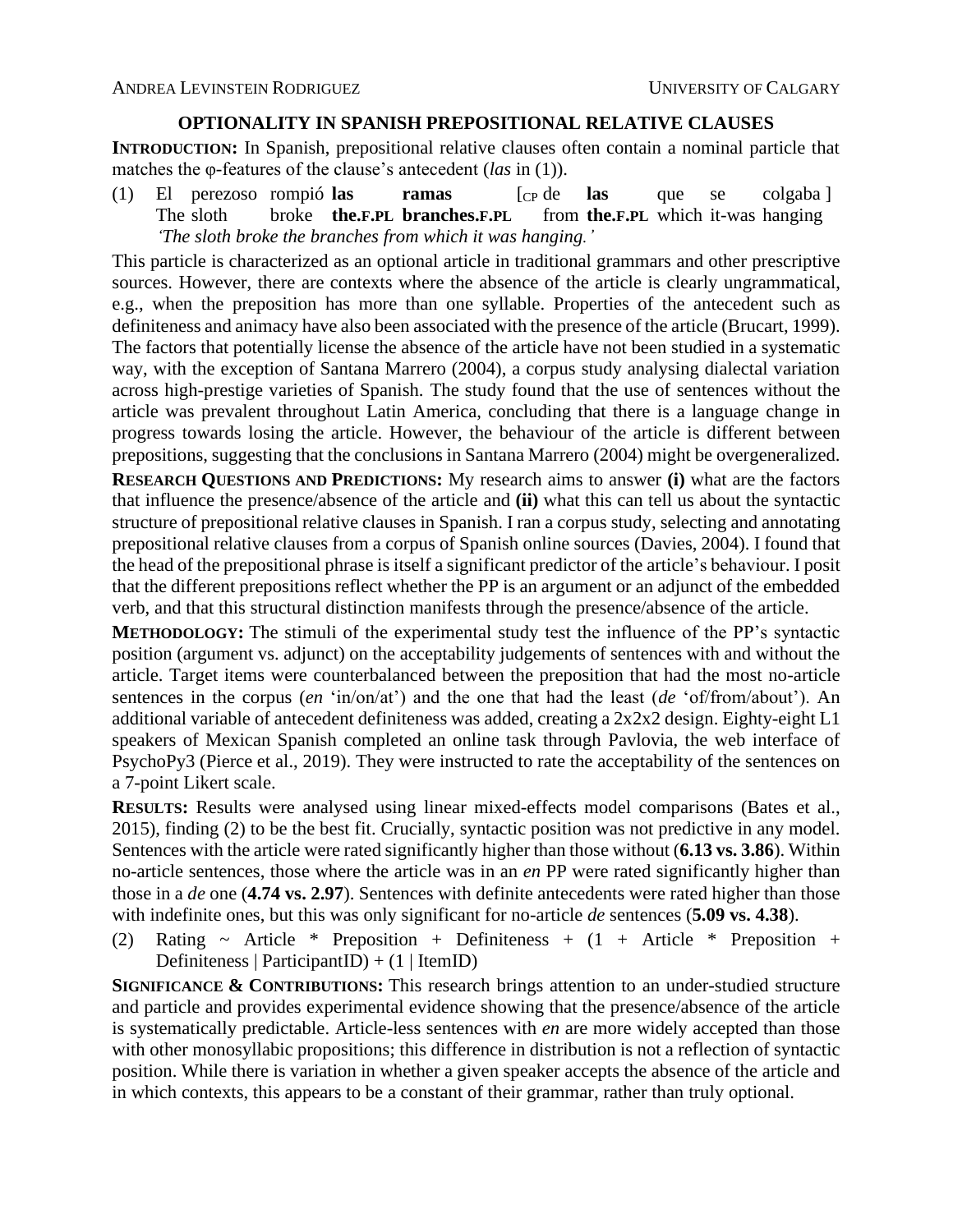## **OPTIONALITY IN SPANISH PREPOSITIONAL RELATIVE CLAUSES**

**INTRODUCTION:** In Spanish, prepositional relative clauses often contain a nominal particle that matches the φ-features of the clause's antecedent (*las* in (1)).

(1) El perezoso rompió **las ramas** [CP de **las** que se colgaba ] The sloth broke **the.F.PL branches.F.PL** from **the.F.PL** which it-was hanging *'The sloth broke the branches from which it was hanging.'*

This particle is characterized as an optional article in traditional grammars and other prescriptive sources. However, there are contexts where the absence of the article is clearly ungrammatical, e.g., when the preposition has more than one syllable. Properties of the antecedent such as definiteness and animacy have also been associated with the presence of the article (Brucart, 1999). The factors that potentially license the absence of the article have not been studied in a systematic way, with the exception of Santana Marrero (2004), a corpus study analysing dialectal variation across high-prestige varieties of Spanish. The study found that the use of sentences without the article was prevalent throughout Latin America, concluding that there is a language change in progress towards losing the article. However, the behaviour of the article is different between prepositions, suggesting that the conclusions in Santana Marrero (2004) might be overgeneralized.

**RESEARCH QUESTIONS AND PREDICTIONS:** My research aims to answer **(i)** what are the factors that influence the presence/absence of the article and **(ii)** what this can tell us about the syntactic structure of prepositional relative clauses in Spanish. I ran a corpus study, selecting and annotating prepositional relative clauses from a corpus of Spanish online sources (Davies, 2004). I found that the head of the prepositional phrase is itself a significant predictor of the article's behaviour. I posit that the different prepositions reflect whether the PP is an argument or an adjunct of the embedded verb, and that this structural distinction manifests through the presence/absence of the article.

**METHODOLOGY:** The stimuli of the experimental study test the influence of the PP's syntactic position (argument vs. adjunct) on the acceptability judgements of sentences with and without the article. Target items were counterbalanced between the preposition that had the most no-article sentences in the corpus (*en* 'in/on/at') and the one that had the least (*de* 'of/from/about'). An additional variable of antecedent definiteness was added, creating a 2x2x2 design. Eighty-eight L1 speakers of Mexican Spanish completed an online task through Pavlovia, the web interface of PsychoPy3 (Pierce et al., 2019). They were instructed to rate the acceptability of the sentences on a 7-point Likert scale.

**RESULTS:** Results were analysed using linear mixed-effects model comparisons (Bates et al., 2015), finding (2) to be the best fit. Crucially, syntactic position was not predictive in any model. Sentences with the article were rated significantly higher than those without (**6.13 vs. 3.86**). Within no-article sentences, those where the article was in an *en* PP were rated significantly higher than those in a *de* one (**4.74 vs. 2.97**). Sentences with definite antecedents were rated higher than those with indefinite ones, but this was only significant for no-article *de* sentences (**5.09 vs. 4.38**).

(2) Rating  $\sim$  Article  $*$  Preposition + Definiteness + (1 + Article  $*$  Preposition + Definiteness | ParticipantID) +  $(1 |$  ItemID)

**SIGNIFICANCE & CONTRIBUTIONS:** This research brings attention to an under-studied structure and particle and provides experimental evidence showing that the presence/absence of the article is systematically predictable. Article-less sentences with *en* are more widely accepted than those with other monosyllabic propositions; this difference in distribution is not a reflection of syntactic position. While there is variation in whether a given speaker accepts the absence of the article and in which contexts, this appears to be a constant of their grammar, rather than truly optional.